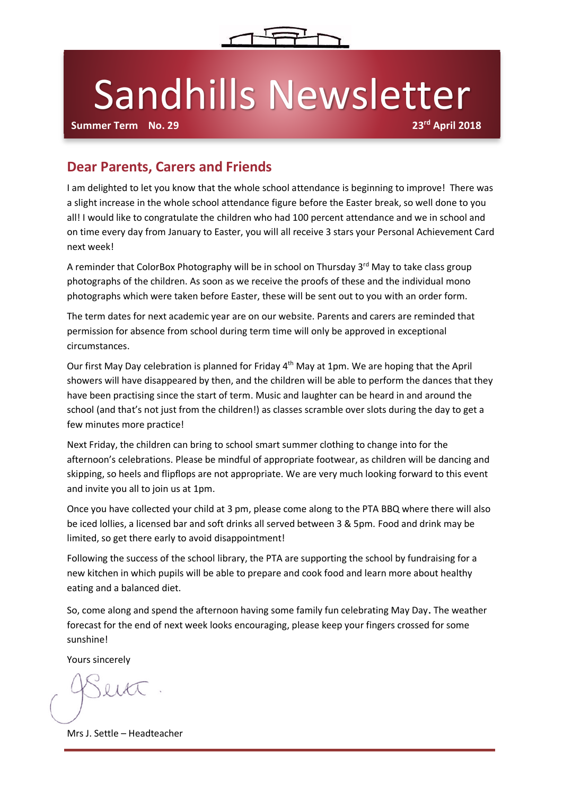

# Sandhills Newsletter

**Summer Term No. 29** 

### **Dear Parents, Carers and Friends**

I am delighted to let you know that the whole school attendance is beginning to improve! There was a slight increase in the whole school attendance figure before the Easter break, so well done to you all! I would like to congratulate the children who had 100 percent attendance and we in school and on time every day from January to Easter, you will all receive 3 stars your Personal Achievement Card next week!

A reminder that ColorBox Photography will be in school on Thursday 3<sup>rd</sup> May to take class group photographs of the children. As soon as we receive the proofs of these and the individual mono photographs which were taken before Easter, these will be sent out to you with an order form.

The term dates for next academic year are on our website. Parents and carers are reminded that permission for absence from school during term time will only be approved in exceptional circumstances.

Our first May Day celebration is planned for Friday 4<sup>th</sup> May at 1pm. We are hoping that the April showers will have disappeared by then, and the children will be able to perform the dances that they have been practising since the start of term. Music and laughter can be heard in and around the school (and that's not just from the children!) as classes scramble over slots during the day to get a few minutes more practice!

Next Friday, the children can bring to school smart summer clothing to change into for the afternoon's celebrations. Please be mindful of appropriate footwear, as children will be dancing and skipping, so heels and flipflops are not appropriate. We are very much looking forward to this event and invite you all to join us at 1pm.

Once you have collected your child at 3 pm, please come along to the PTA BBQ where there will also be iced lollies, a licensed bar and soft drinks all served between 3 & 5pm. Food and drink may be limited, so get there early to avoid disappointment!

Following the success of the school library, the PTA are supporting the school by fundraising for a new kitchen in which pupils will be able to prepare and cook food and learn more about healthy eating and a balanced diet.

So, come along and spend the afternoon having some family fun celebrating May Day. The weather forecast for the end of next week looks encouraging, please keep your fingers crossed for some sunshine!

Yours sincerely

 $0141$ 

Mrs J. Settle – Headteacher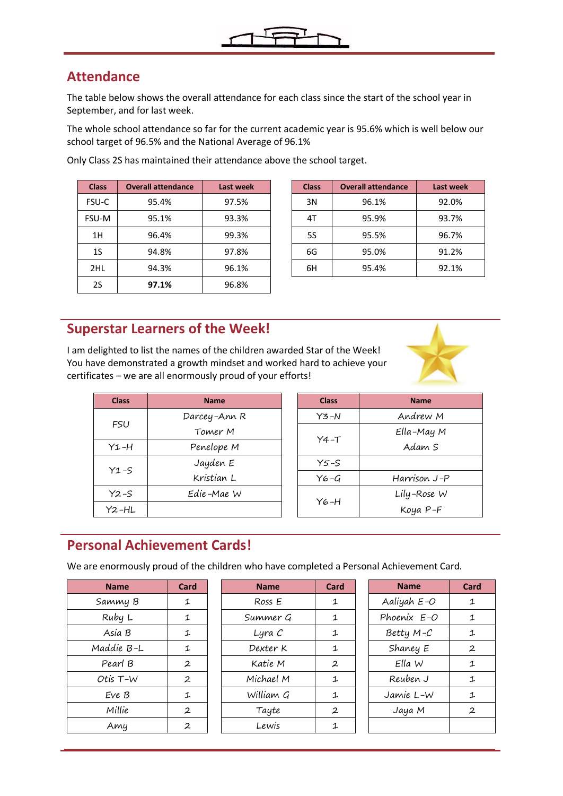

### **Attendance**

The table below shows the overall attendance for each class since the start of the school year in September, and for last week.

The whole school attendance so far for the current academic year is 95.6% which is well below our school target of 96.5% and the National Average of 96.1%

| <b>Class</b> | <b>Overall attendance</b> | Last week | <b>Class</b> | <b>Overall attendance</b> | Last wee |
|--------------|---------------------------|-----------|--------------|---------------------------|----------|
| FSU-C        | 95.4%                     | 97.5%     | 3N           | 96.1%                     | 92.0%    |
| FSU-M        | 95.1%                     | 93.3%     | 4T           | 95.9%                     | 93.7%    |
| 1H           | 96.4%                     | 99.3%     | 5S           | 95.5%                     | 96.7%    |
| 1S           | 94.8%                     | 97.8%     | 6G           | 95.0%                     | 91.2%    |
| 2HL          | 94.3%                     | 96.1%     | 6H           | 95.4%                     | 92.1%    |
| 2S           | 97.1%                     | 96.8%     |              |                           |          |

| <b>Class</b> | <b>Overall attendance</b> | Last week | <b>Class</b> | <b>Overall attendance</b> | Last week |
|--------------|---------------------------|-----------|--------------|---------------------------|-----------|
| SU-C         | 95.4%                     | 97.5%     | 3N           | 96.1%                     | 92.0%     |
| SU-M         | 95.1%                     | 93.3%     | 4T           | 95.9%                     | 93.7%     |
| 1H           | 96.4%                     | 99.3%     | 5S           | 95.5%                     | 96.7%     |
| <b>1S</b>    | 94.8%                     | 97.8%     | 6G           | 95.0%                     | 91.2%     |
| 2HL          | 94.3%                     | 96.1%     | 6H           | 95.4%                     | 92.1%     |

#### Only Class 2S has maintained their attendance above the school target.

#### **Superstar Learners of the Week!**

I am delighted to list the names of the children awarded Star of the Week! You have demonstrated a growth mindset and worked hard to achieve your certificates – we are all enormously proud of your efforts!

| <b>Class</b> | <b>Name</b>  |  | <b>Class</b> | <b>Name</b>         |
|--------------|--------------|--|--------------|---------------------|
|              | Darcey-Ann R |  | $Y3-N$       | Andrew M            |
| <b>FSU</b>   | Tomer M      |  |              | $Ella-MayN$         |
| $Y1 - H$     | Penelope M   |  | $Y4-T$       | Adam S              |
|              | Jayden E     |  | $Y5-S$       |                     |
| $Y1-S$       | Kristian L   |  | $YG-G$       | Harrison J-         |
| $Y2-S$       | Edie-Mae W   |  |              | Lily-Rose $\lambda$ |
| $Y2 - HL$    |              |  | Y6-H         | Koya P-F            |

| <b>Class</b> | <b>Name</b>  |
|--------------|--------------|
| $Y3 - N$     | Andrew M     |
| $Y4 - T$     | Ella-May M   |
|              | Adam S       |
| $Y5-S$       |              |
| Y6-G         | Harrison J-P |
| $Y_{6}$ -H   | Lily-Rose W  |
|              | Koya P-F     |

# **Personal Achievement Cards!**

We are enormously proud of the children who have completed a Personal Achievement Card.

| <b>Name</b> | Card         |
|-------------|--------------|
| Sammy B     | 1            |
| Ruby L      | 1            |
| Asia B      | 1            |
| Maddie B-L  | 1            |
| Pearl B     | $\mathbf{2}$ |
| Otis T-W    | 2            |
| Eve B       | 1            |
| Millie      | $\mathbf{2}$ |
| Amy         | $\mathbf{2}$ |

| <b>Name</b> | Card         | <b>Name</b> | Card         | <b>Name</b> | Card         |
|-------------|--------------|-------------|--------------|-------------|--------------|
| Sammy B     | 1            | Ross E      | 1            | Aaliyah E-O | 1            |
| Ruby L      | 1            | Summer G    | 1            | Phoenix E-O | 1            |
| Asia B      | 1            | Lyra C      | 1            | Betty $M-C$ | 1            |
| Maddie B-L  | 1            | Dexter K    | 1            | Shaney E    | $\mathbf{2}$ |
| Pearl B     | $\mathbf{2}$ | Katie M     | $\mathbf{2}$ | Ella W      | 1            |
| Otis T-W    | $\mathbf{2}$ | Michael M   | 1            | Reuben J    | 1            |
| Eve B       | 1            | William G   | 1            | Jamie L-W   | 1            |
| Millie      | $\mathbf{2}$ | Tayte       | $\mathbf{2}$ | Jaya M      | $\mathbf{2}$ |
| Amy         | $\mathbf{2}$ | Lewis       | 1            |             |              |
|             |              |             |              |             |              |

| Name        | Card |
|-------------|------|
| Aaliyah E-O | 1    |
| Phoenix E-O | 1    |
| Betty M-C   | 1    |
| Shaney E    | 2    |
| Flla W      | 1    |
| Reuben J    | 1    |
| Jamie L-W   | 1    |
| Jaya M      | 2    |
|             |      |